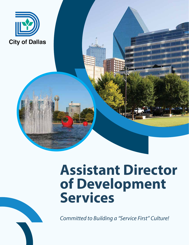

# **Assistant Director of Development Services**

*Committed to Building a "Service First" Culture!*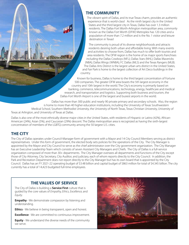# **THE COMMUNITY**

The vibrant spirit of Dallas, and its true Texas charm, provides an authentic experience that is world-class! As the ninth largest city in the United States and the third largest city in Texas, Dallas has over 1.3 million residents. The Dallas-Fort Worth-Arlington metropolitan area, commonly known as the Dallas Fort Worth (DFW) Metroplex has 120 cities and a population of more than 7.2 million and is the No. 1 visitor and leisure destination in Texas!

The community is proud of its diverse neighborhoods and attracts residents desiring both urban and affordable living. With many events and activities to choose from, Dallas has much to offer both tourists and area residents. The DFW region is the home of six major sports franchises including the Dallas Cowboys (NFL); Dallas Stars (NHL); Dallas Mavericks (NBA); Dallas Wings (WNBA); FC Dallas (MLS) and the Texas Rangers (MLB). The Dallas Arts District is the largest urban arts district in the United States, and Fair Park is home to the largest collection of Art Deco buildings in the country.

Known for business, Dallas is home to the third largest concentration of Fortune 500 companies. The greater DFW area boasts the 5th largest economy in the country and 10th largest in the world. The City's economy is primarily based on banking, commerce, telecommunications, technology, energy, healthcare and medical research, and transportation and logistics. Supporting both business and tourism, the Dallas-Fort Worth Airport is one of the largest and busiest airports in the world.

Dallas has more than 300 public and nearly 90 private primary and secondary schools. Also, the region is home to more than 40 higher education institutions, including the University of Texas Southwestern Medical School, Southern Methodist University, the University of North Texas, Texas Christian University, University of Texas at Arlington, and University of Texas at Dallas.

Dallas is also one of the most ethnically diverse major cities in the United States, with residents of Hispanic or Latino (42%), African-American (24%), Asian (5%), and Caucasian (29%) descent. The Dallas metropolitan area is recognized as having the sixth-largest concentration of members of the LGBTQ community among the 50 largest U.S. cities.

# **THE CITY**

The City of Dallas operates under Council-Manager form of government with a Mayor and 14 City Council Members serving as district representatives. Under this form of government, the elected body sets policies for the operations of the City. The City Manager is appointed by the Mayor and City Council to serve as the chief administrator over the City government organization. The City Manager has an Executive Leadership Team which consists of seven Assistant City Managers and Chiefs. The City of Dallas is a full-service organization composed of more than 30+ departments. The City Manager oversees all departments and functions of the City except those of City Attorney, City Secretary, City Auditor, and judiciary, each of whom reports directly to the City Council. In addition, the Park and Recreation Department does not report directly to the City Manager but has its own board that is appointed by the City Council. Dallas has an FY 2021-22 operating budget of \$3.48 billion and capital budget of \$863 million for total of \$4.345 billion. The city currently has a total of 14,423 budgeted full-time employees.

# **THE VALUES OF SERVICE**

The City of Dallas is building a **Service First** culture that is guided by the core values of *Empathy, Ethics, Excellence,* and *Equity*.

**Empathy** - We demonstrate compassion by listening and understanding.

**Ethics** - We believe in being transparent, open and honest.

**Excellence** - We are committed to continuous improvement.

**Equity** - We understand the diverse needs of the community we serve.

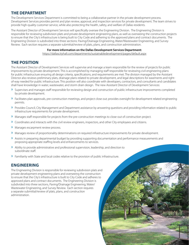#### **THE DEPARTMENT**

The Development Services Department is committed to being a collaborative partner in the private development process. Development Services provides permit and plan review, approval, and inspection services for private development. The team strives to provide high-quality customer service, while also protecting the health, safety, and welfare of Dallas residents.

The Assistant Director of Development Services will specifically oversee the Engineering Division. The Engineering Division is responsible for reviewing subdivision plats and private development engineering plans, as well as overseeing the construction projects to ensure that the City's infrastructure is being built to City Code and adhering to the approved plans and contract documents. The Engineering Division is subdivided into three sections: Paving/Drainage Engineering, Water/Wastewater Engineering, and Survey Review. Each section requires a separate submittal/review of plats, plans, and construction administration.

#### **For more information on the Dallas Development Services Department:**

https://dallascityhall.com/departments/sustainabledevelopment/pages/default.aspx

# **THE POSITION**

The Assistant Director of Development Services will supervise and manage a team responsible for the review of projects for public improvements by private development. This is accomplished by managing staff responsible for reviewing civil engineering plans for public infrastructure ensuring all design criteria, specifications, and requirements are met. The division managed by the Assistant Director also reviews preliminary plats, drainage plans related to private development, and legal descriptions for easements and rightof-way needed for public infrastructure. This position will also coordinate with developers, contractors, and consultants and candidates shall have knowledge in water, wastewater, and storm drain design. The new Assistant Director of Development Services:

- » Supervises and manages staff responsible for reviewing design and construction of public infrastructure improvements completed by private development.
- » Facilitates plan approvals, pre-construction meetings, and project close out; provides oversight for development related engineering permits.
- » Provides Council, City Management and Department assistance by answering questions and providing information related to public infrastructure requirements for private development.
- » Manages staff responsible for projects from the pre-construction meetings to close-out of construction project.
- » Coordinates and interacts with the civil review engineers, inspectors, and other City employees and citizens.
- » Manages escarpment review process.
- » Manages review of proportionality determinations on required infrastructure improvements for private development.
- » Assists in preparing departmental budget by providing supporting documentation and performance measurements and proposing appropriate staffing levels and enhancements to services.
- » Ability to provide administrative and professional supervision, leadership, and direction to subordinate staff.
- » Familiarity with State and local codes relative to the provision of public infrastructure.

## **ENGINEERING**

The Engineering Division is responsible for reviewing subdivision plats and private development engineering plans and overseeing the construction to ensure that the City's infrastructure is built to City Code and adheres to approved plans and contract documents. The Engineering Division is subdivided into three sections, Paving/Drainage Engineering, Water/ Wastewater Engineering, and Survey Review. Each section requires a separate submittal/review of plats, plans, and construction administration.